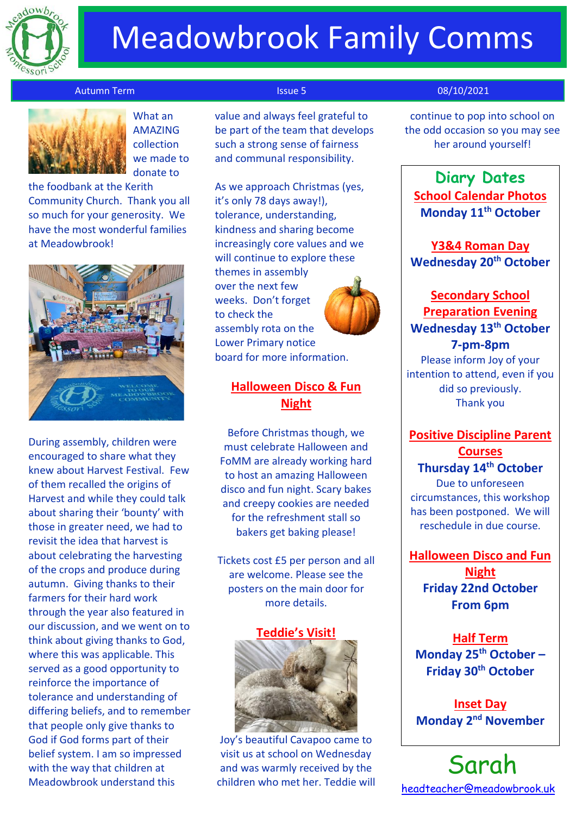

# Meadowbrook Family Comms

### Autumn Term Issue 5 08/10/2021



AMAZING collection we made to donate to

the foodbank at the Kerith Community Church. Thank you all so much for your generosity. We have the most wonderful families at Meadowbrook!



During assembly, children were encouraged to share what they knew about Harvest Festival. Few of them recalled the origins of Harvest and while they could talk about sharing their 'bounty' with those in greater need, we had to revisit the idea that harvest is about celebrating the harvesting of the crops and produce during autumn. Giving thanks to their farmers for their hard work through the year also featured in our discussion, and we went on to think about giving thanks to God, where this was applicable. This served as a good opportunity to reinforce the importance of tolerance and understanding of differing beliefs, and to remember that people only give thanks to God if God forms part of their belief system. I am so impressed with the way that children at Meadowbrook understand this

What an **value and always feel grateful to** be part of the team that develops such a strong sense of fairness and communal responsibility.

> As we approach Christmas (yes, it's only 78 days away!), tolerance, understanding, kindness and sharing become increasingly core values and we will continue to explore these themes in assembly over the next few weeks. Don't forget to check the assembly rota on the Lower Primary notice board for more information.



## **Halloween Disco & Fun Night**

Before Christmas though, we must celebrate Halloween and FoMM are already working hard to host an amazing Halloween disco and fun night. Scary bakes and creepy cookies are needed for the refreshment stall so bakers get baking please!

Tickets cost £5 per person and all are welcome. Please see the posters on the main door for more details.

### **Teddie's Visit!**



Joy's beautiful Cavapoo came to visit us at school on Wednesday and was warmly received by the children who met her. Teddie will

continue to pop into school on the odd occasion so you may see her around yourself!

**Diary Dates School Calendar Photos Monday 11th October**

**Y3&4 Roman Day Wednesday 20th October**

# **Secondary School Preparation Evening Wednesday 13th October 7-pm-8pm**

Please inform Joy of your intention to attend, even if you did so previously. Thank you

## **Positive Discipline Parent Courses Thursday 14th October**

Due to unforeseen circumstances, this workshop has been postponed. We will reschedule in due course.

**Halloween Disco and Fun Night Friday 22nd October**

**From 6pm**

**Half Term Monday 25th October – Friday 30th October**

**Inset Day Monday 2nd November**